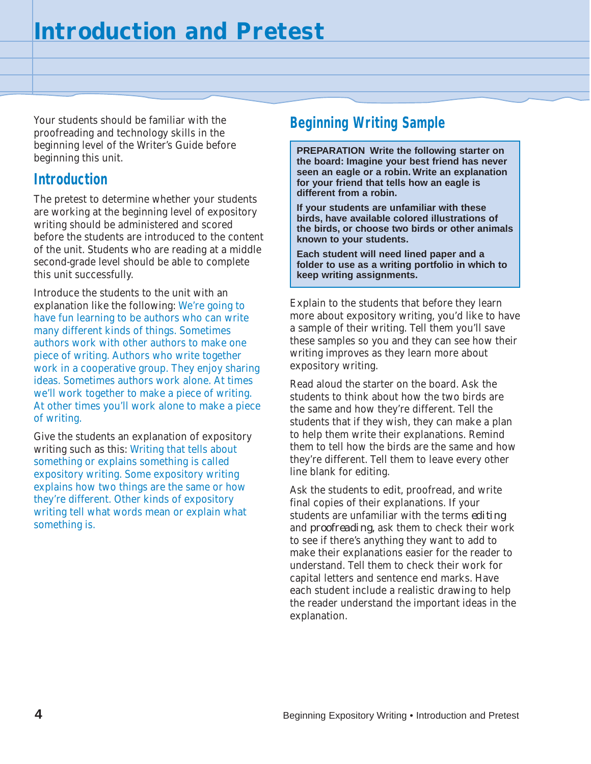Your students should be familiar with the proofreading and technology skills in the beginning level of the Writer's Guide before beginning this unit.

## **Introduction**

The pretest to determine whether your students are working at the beginning level of expository writing should be administered and scored before the students are introduced to the content of the unit. Students who are reading at a middle second-grade level should be able to complete this unit successfully.

Introduce the students to the unit with an explanation like the following: We're going to have fun learning to be authors who can write many different kinds of things. Sometimes authors work with other authors to make one piece of writing. Authors who write together work in a cooperative group. They enjoy sharing ideas. Sometimes authors work alone. At times we'll work together to make a piece of writing. At other times you'll work alone to make a piece of writing.

Give the students an explanation of expository writing such as this: Writing that tells about something or explains something is called expository writing. Some expository writing explains how two things are the same or how they're different. Other kinds of expository writing tell what words mean or explain what something is.

## **Beginning Writing Sample**

**PREPARATION Write the following starter on the board: Imagine your best friend has never seen an eagle or a robin. Write an explanation for your friend that tells how an eagle is different from a robin.**

**If your students are unfamiliar with these birds, have available colored illustrations of the birds, or choose two birds or other animals known to your students.**

**Each student will need lined paper and a folder to use as a writing portfolio in which to keep writing assignments.**

Explain to the students that before they learn more about expository writing, you'd like to have a sample of their writing. Tell them you'll save these samples so you and they can see how their writing improves as they learn more about expository writing.

Read aloud the starter on the board. Ask the students to think about how the two birds are the same and how they're different. Tell the students that if they wish, they can make a plan to help them write their explanations. Remind them to tell how the birds are the same and how they're different. Tell them to leave every other line blank for editing.

Ask the students to edit, proofread, and write final copies of their explanations. If your students are unfamiliar with the terms *editing* and *proofreading,* ask them to check their work to see if there's anything they want to add to make their explanations easier for the reader to understand. Tell them to check their work for capital letters and sentence end marks. Have each student include a realistic drawing to help the reader understand the important ideas in the explanation.